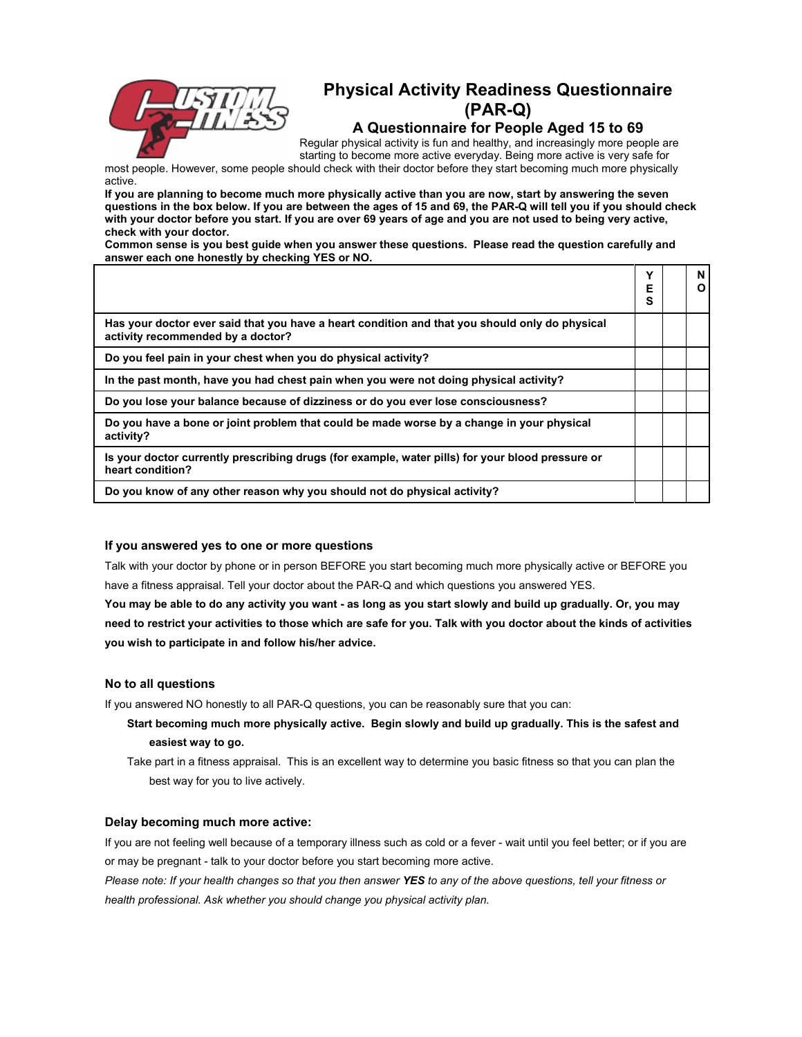

# **Physical Activity Readiness Questionnaire (PAR-Q)**

## **A Questionnaire for People Aged 15 to 69**

Regular physical activity is fun and healthy, and increasingly more people are starting to become more active everyday. Being more active is very safe for

most people. However, some people should check with their doctor before they start becoming much more physically active.

**If you are planning to become much more physically active than you are now, start by answering the seven questions in the box below. If you are between the ages of 15 and 69, the PAR-Q will tell you if you should check with your doctor before you start. If you are over 69 years of age and you are not used to being very active, check with your doctor.** 

**Common sense is you best guide when you answer these questions. Please read the question carefully and answer each one honestly by checking YES or NO.** 

|                                                                                                                                     | v<br>Е<br>s | N<br>n |
|-------------------------------------------------------------------------------------------------------------------------------------|-------------|--------|
| Has your doctor ever said that you have a heart condition and that you should only do physical<br>activity recommended by a doctor? |             |        |
| Do you feel pain in your chest when you do physical activity?                                                                       |             |        |
| In the past month, have you had chest pain when you were not doing physical activity?                                               |             |        |
| Do you lose your balance because of dizziness or do you ever lose consciousness?                                                    |             |        |
| Do you have a bone or joint problem that could be made worse by a change in your physical<br>activity?                              |             |        |
| Is your doctor currently prescribing drugs (for example, water pills) for your blood pressure or<br>heart condition?                |             |        |
| Do you know of any other reason why you should not do physical activity?                                                            |             |        |

#### **If you answered yes to one or more questions**

Talk with your doctor by phone or in person BEFORE you start becoming much more physically active or BEFORE you have a fitness appraisal. Tell your doctor about the PAR-Q and which questions you answered YES.

**You may be able to do any activity you want - as long as you start slowly and build up gradually. Or, you may need to restrict your activities to those which are safe for you. Talk with you doctor about the kinds of activities you wish to participate in and follow his/her advice.** 

### **No to all questions**

If you answered NO honestly to all PAR-Q questions, you can be reasonably sure that you can:

- **Start becoming much more physically active. Begin slowly and build up gradually. This is the safest and easiest way to go.**
- Take part in a fitness appraisal. This is an excellent way to determine you basic fitness so that you can plan the best way for you to live actively.

#### **Delay becoming much more active:**

If you are not feeling well because of a temporary illness such as cold or a fever - wait until you feel better; or if you are or may be pregnant - talk to your doctor before you start becoming more active.

*Please note: If your health changes so that you then answer YES to any of the above questions, tell your fitness or health professional. Ask whether you should change you physical activity plan.*